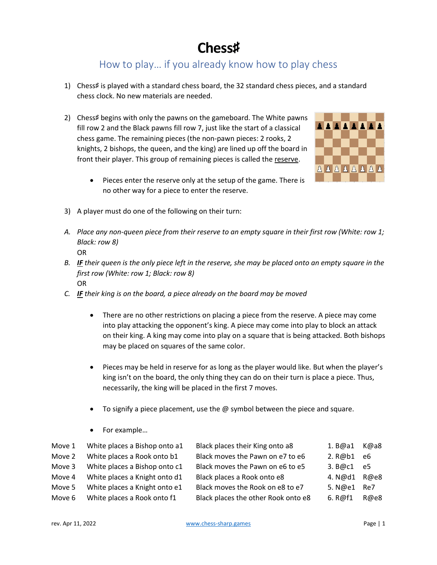## **Chess**♯

## How to play… if you already know how to play chess

- 1) Chess♯ is played with a standard chess board, the 32 standard chess pieces, and a standard chess clock. No new materials are needed.
- 2) Chess# begins with only the pawns on the gameboard. The White pawns fill row 2 and the Black pawns fill row 7, just like the start of a classical chess game. The remaining pieces (the non-pawn pieces: 2 rooks, 2 knights, 2 bishops, the queen, and the king) are lined up off the board in front their player. This group of remaining pieces is called the reserve.



- Pieces enter the reserve only at the setup of the game. There is no other way for a piece to enter the reserve.
- 3) A player must do one of the following on their turn:
- *A. Place any non-queen piece from their reserve to an empty square in their first row (White: row 1; Black: row 8)*

OR

- *B. IF their queen is the only piece left in the reserve, she may be placed onto an empty square in the first row (White: row 1; Black: row 8)* OR
- *C. IF their king is on the board, a piece already on the board may be moved*
	- There are no other restrictions on placing a piece from the reserve. A piece may come into play attacking the opponent's king. A piece may come into play to block an attack on their king. A king may come into play on a square that is being attacked. Both bishops may be placed on squares of the same color.
	- Pieces may be held in reserve for as long as the player would like. But when the player's king isn't on the board, the only thing they can do on their turn is place a piece. Thus, necessarily, the king will be placed in the first 7 moves.
	- To signify a piece placement, use the  $\omega$  symbol between the piece and square.
	- For example…

| Move 1 | White places a Bishop onto a1 | Black places their King onto a8     | 1. B@a1   | K@a8 |
|--------|-------------------------------|-------------------------------------|-----------|------|
| Move 2 | White places a Rook onto b1   | Black moves the Pawn on e7 to e6    | 2. R@b1   | e6   |
| Move 3 | White places a Bishop onto c1 | Black moves the Pawn on e6 to e5    | 3. B@c1   | e5   |
| Move 4 | White places a Knight onto d1 | Black places a Rook onto e8         | 4. N@d1   | R@e8 |
| Move 5 | White places a Knight onto e1 | Black moves the Rook on e8 to e7    | 5. $N@e1$ | Re7  |
| Move 6 | White places a Rook onto f1   | Black places the other Rook onto e8 | 6. R@f1   | R@e8 |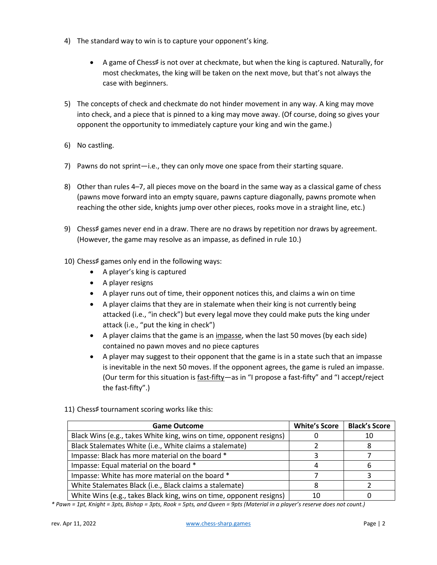- 4) The standard way to win is to capture your opponent's king.
	- A game of Chess♯ is not over at checkmate, but when the king is captured. Naturally, for most checkmates, the king will be taken on the next move, but that's not always the case with beginners.
- 5) The concepts of check and checkmate do not hinder movement in any way. A king may move into check, and a piece that is pinned to a king may move away. (Of course, doing so gives your opponent the opportunity to immediately capture your king and win the game.)
- 6) No castling.
- 7) Pawns do not sprint—i.e., they can only move one space from their starting square.
- 8) Other than rules 4–7, all pieces move on the board in the same way as a classical game of chess (pawns move forward into an empty square, pawns capture diagonally, pawns promote when reaching the other side, knights jump over other pieces, rooks move in a straight line, etc.)
- 9) Chess# games never end in a draw. There are no draws by repetition nor draws by agreement. (However, the game may resolve as an impasse, as defined in rule 10.)
- 10) Chess♯ games only end in the following ways:
	- A player's king is captured
	- A player resigns
	- A player runs out of time, their opponent notices this, and claims a win on time
	- A player claims that they are in stalemate when their king is not currently being attacked (i.e., "in check") but every legal move they could make puts the king under attack (i.e., "put the king in check")
	- A player claims that the game is an impasse, when the last 50 moves (by each side) contained no pawn moves and no piece captures
	- A player may suggest to their opponent that the game is in a state such that an impasse is inevitable in the next 50 moves. If the opponent agrees, the game is ruled an impasse. (Our term for this situation is fast-fifty—as in "I propose a fast-fifty" and "I accept/reject the fast-fifty".)
- 11) Chess# tournament scoring works like this:

| <b>Game Outcome</b>                                                 | <b>White's Score</b> | <b>Black's Score</b> |  |
|---------------------------------------------------------------------|----------------------|----------------------|--|
| Black Wins (e.g., takes White king, wins on time, opponent resigns) |                      | 10                   |  |
| Black Stalemates White (i.e., White claims a stalemate)             |                      |                      |  |
| Impasse: Black has more material on the board *                     |                      |                      |  |
| Impasse: Equal material on the board *                              |                      |                      |  |
| Impasse: White has more material on the board *                     |                      |                      |  |
| White Stalemates Black (i.e., Black claims a stalemate)             |                      |                      |  |
| White Wins (e.g., takes Black king, wins on time, opponent resigns) | 10                   |                      |  |

*\* Pawn = 1pt, Knight = 3pts, Bishop = 3pts, Rook = 5pts, and Queen = 9pts (Material in a player's reserve does not count.)*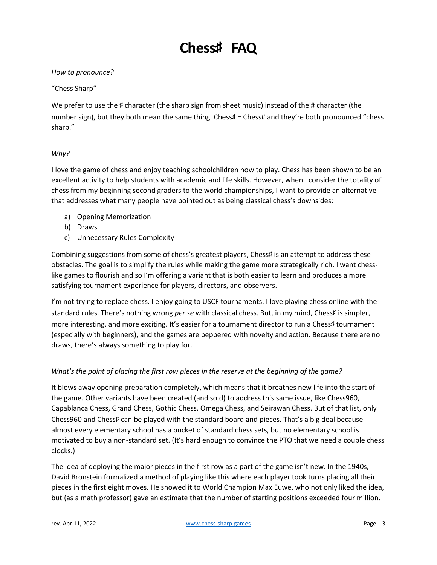# **Chess**♯ **FAQ**

## *How to pronounce?*

### "Chess Sharp"

We prefer to use the # character (the sharp sign from sheet music) instead of the # character (the number sign), but they both mean the same thing. Chess# = Chess# and they're both pronounced "chess sharp."

## *Why?*

I love the game of chess and enjoy teaching schoolchildren how to play. Chess has been shown to be an excellent activity to help students with academic and life skills. However, when I consider the totality of chess from my beginning second graders to the world championships, I want to provide an alternative that addresses what many people have pointed out as being classical chess's downsides:

- a) Opening Memorization
- b) Draws
- c) Unnecessary Rules Complexity

Combining suggestions from some of chess's greatest players, Chess# is an attempt to address these obstacles. The goal is to simplify the rules while making the game more strategically rich. I want chesslike games to flourish and so I'm offering a variant that is both easier to learn and produces a more satisfying tournament experience for players, directors, and observers.

I'm not trying to replace chess. I enjoy going to USCF tournaments. I love playing chess online with the standard rules. There's nothing wrong *per se* with classical chess. But, in my mind, Chess# is simpler, more interesting, and more exciting. It's easier for a tournament director to run a Chess♯ tournament (especially with beginners), and the games are peppered with novelty and action. Because there are no draws, there's always something to play for.

### *What's the point of placing the first row pieces in the reserve at the beginning of the game?*

It blows away opening preparation completely, which means that it breathes new life into the start of the game. Other variants have been created (and sold) to address this same issue, like Chess960, Capablanca Chess, Grand Chess, Gothic Chess, Omega Chess, and Seirawan Chess. But of that list, only Chess960 and Chess♯ can be played with the standard board and pieces. That's a big deal because almost every elementary school has a bucket of standard chess sets, but no elementary school is motivated to buy a non-standard set. (It's hard enough to convince the PTO that we need a couple chess clocks.)

The idea of deploying the major pieces in the first row as a part of the game isn't new. In the 1940s, David Bronstein formalized a method of playing like this where each player took turns placing all their pieces in the first eight moves. He showed it to World Champion Max Euwe, who not only liked the idea, but (as a math professor) gave an estimate that the number of starting positions exceeded four million.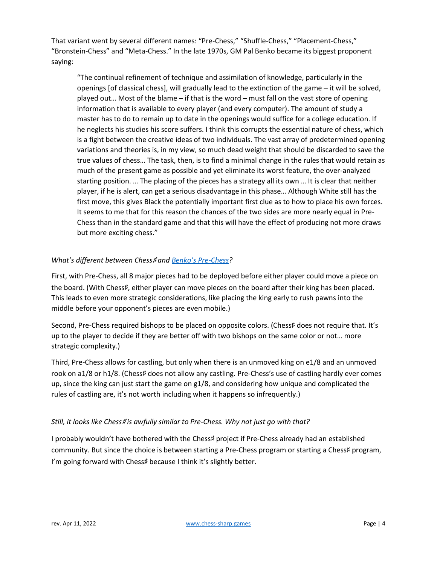That variant went by several different names: "Pre-Chess," "Shuffle-Chess," "Placement-Chess," "Bronstein-Chess" and "Meta-Chess." In the late 1970s, GM Pal Benko became its biggest proponent saying:

"The continual refinement of technique and assimilation of knowledge, particularly in the openings [of classical chess], will gradually lead to the extinction of the game – it will be solved, played out… Most of the blame – if that is the word – must fall on the vast store of opening information that is available to every player (and every computer). The amount of study a master has to do to remain up to date in the openings would suffice for a college education. If he neglects his studies his score suffers. I think this corrupts the essential nature of chess, which is a fight between the creative ideas of two individuals. The vast array of predetermined opening variations and theories is, in my view, so much dead weight that should be discarded to save the true values of chess… The task, then, is to find a minimal change in the rules that would retain as much of the present game as possible and yet eliminate its worst feature, the over-analyzed starting position. … The placing of the pieces has a strategy all its own … It is clear that neither player, if he is alert, can get a serious disadvantage in this phase… Although White still has the first move, this gives Black the potentially important first clue as to how to place his own forces. It seems to me that for this reason the chances of the two sides are more nearly equal in Pre-Chess than in the standard game and that this will have the effect of producing not more draws but more exciting chess."

## *What's different between Chess*♯ *and [Benko's Pre](http://www.quantumgambitz.com/blog/chess/cga/bronstein-chess-pre-chess-shuffle-chess)-Chess?*

First, with Pre-Chess, all 8 major pieces had to be deployed before either player could move a piece on the board. (With Chess‡, either player can move pieces on the board after their king has been placed. This leads to even more strategic considerations, like placing the king early to rush pawns into the middle before your opponent's pieces are even mobile.)

Second, Pre-Chess required bishops to be placed on opposite colors. (Chess# does not require that. It's up to the player to decide if they are better off with two bishops on the same color or not… more strategic complexity.)

Third, Pre-Chess allows for castling, but only when there is an unmoved king on e1/8 and an unmoved rook on a1/8 or h1/8. (Chess# does not allow any castling. Pre-Chess's use of castling hardly ever comes up, since the king can just start the game on g1/8, and considering how unique and complicated the rules of castling are, it's not worth including when it happens so infrequently.)

## *Still, it looks like Chess*♯ *is awfully similar to Pre-Chess. Why not just go with that?*

I probably wouldn't have bothered with the Chess♯ project if Pre-Chess already had an established community. But since the choice is between starting a Pre-Chess program or starting a Chess# program, I'm going forward with Chess♯ because I think it's slightly better.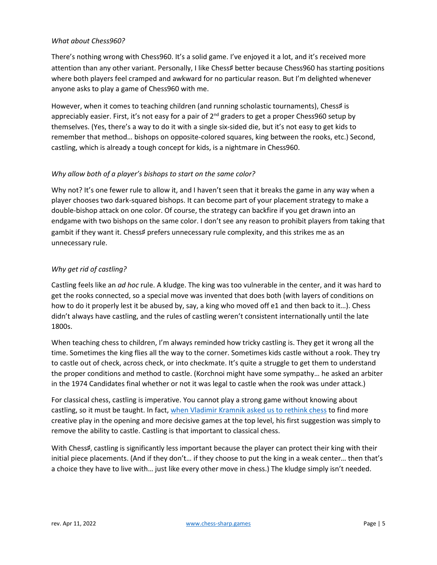#### *What about Chess960?*

There's nothing wrong with Chess960. It's a solid game. I've enjoyed it a lot, and it's received more attention than any other variant. Personally, I like Chess♯ better because Chess960 has starting positions where both players feel cramped and awkward for no particular reason. But I'm delighted whenever anyone asks to play a game of Chess960 with me.

However, when it comes to teaching children (and running scholastic tournaments), Chess# is appreciably easier. First, it's not easy for a pair of  $2<sup>nd</sup>$  graders to get a proper Chess960 setup by themselves. (Yes, there's a way to do it with a single six-sided die, but it's not easy to get kids to remember that method… bishops on opposite-colored squares, king between the rooks, etc.) Second, castling, which is already a tough concept for kids, is a nightmare in Chess960.

### *Why allow both of a player's bishops to start on the same color?*

Why not? It's one fewer rule to allow it, and I haven't seen that it breaks the game in any way when a player chooses two dark-squared bishops. It can become part of your placement strategy to make a double-bishop attack on one color. Of course, the strategy can backfire if you get drawn into an endgame with two bishops on the same color. I don't see any reason to prohibit players from taking that gambit if they want it. Chess♯ prefers unnecessary rule complexity, and this strikes me as an unnecessary rule.

## *Why get rid of castling?*

Castling feels like an *ad hoc* rule. A kludge. The king was too vulnerable in the center, and it was hard to get the rooks connected, so a special move was invented that does both (with layers of conditions on how to do it properly lest it be abused by, say, a king who moved off e1 and then back to it...). Chess didn't always have castling, and the rules of castling weren't consistent internationally until the late 1800s.

When teaching chess to children, I'm always reminded how tricky castling is. They get it wrong all the time. Sometimes the king flies all the way to the corner. Sometimes kids castle without a rook. They try to castle out of check, across check, or into checkmate. It's quite a struggle to get them to understand the proper conditions and method to castle. (Korchnoi might have some sympathy… he asked an arbiter in the 1974 Candidates final whether or not it was legal to castle when the rook was under attack.)

For classical chess, castling is imperative. You cannot play a strong game without knowing about castling, so it must be taught. In fact, [when Vladimir Kramnik asked us to rethink chess](https://www.chess.com/article/view/no-castling-chess-kramnik-alphazero) to find more creative play in the opening and more decisive games at the top level, his first suggestion was simply to remove the ability to castle. Castling is that important to classical chess.

With Chess#, castling is significantly less important because the player can protect their king with their initial piece placements. (And if they don't… if they choose to put the king in a weak center… then that's a choice they have to live with… just like every other move in chess.) The kludge simply isn't needed.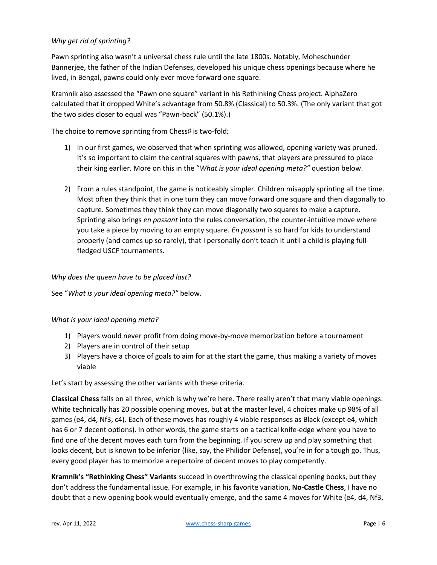## *Why get rid of sprinting?*

Pawn sprinting also wasn't a universal chess rule until the late 1800s. Notably, Moheschunder Bannerjee, the father of the Indian Defenses, developed his unique chess openings because where he lived, in Bengal, pawns could only ever move forward one square.

Kramnik also assessed the "Pawn one square" variant in his Rethinking Chess project. AlphaZero calculated that it dropped White's advantage from 50.8% (Classical) to 50.3%. (The only variant that got the two sides closer to equal was "Pawn-back" (50.1%).)

The choice to remove sprinting from Chess# is two-fold:

- 1) In our first games, we observed that when sprinting was allowed, opening variety was pruned. It's so important to claim the central squares with pawns, that players are pressured to place their king earlier. More on this in the "*What is your ideal opening meta?"* question below.
- 2) From a rules standpoint, the game is noticeably simpler. Children misapply sprinting all the time. Most often they think that in one turn they can move forward one square and then diagonally to capture. Sometimes they think they can move diagonally two squares to make a capture. Sprinting also brings *en passant* into the rules conversation, the counter-intuitive move where you take a piece by moving to an empty square. *En passant* is so hard for kids to understand properly (and comes up so rarely), that I personally don't teach it until a child is playing fullfledged USCF tournaments.

### *Why does the queen have to be placed last?*

See "*What is your ideal opening meta?"* below.

### *What is your ideal opening meta?*

- 1) Players would never profit from doing move-by-move memorization before a tournament
- 2) Players are in control of their setup
- 3) Players have a choice of goals to aim for at the start the game, thus making a variety of moves viable

Let's start by assessing the other variants with these criteria.

**Classical Chess** fails on all three, which is why we're here. There really aren't that many viable openings. White technically has 20 possible opening moves, but at the master level, 4 choices make up 98% of all games (e4, d4, Nf3, c4). Each of these moves has roughly 4 viable responses as Black (except e4, which has 6 or 7 decent options). In other words, the game starts on a tactical knife-edge where you have to find one of the decent moves each turn from the beginning. If you screw up and play something that looks decent, but is known to be inferior (like, say, the Philidor Defense), you're in for a tough go. Thus, every good player has to memorize a repertoire of decent moves to play competently.

**Kramnik's "Rethinking Chess" Variants** succeed in overthrowing the classical opening books, but they don't address the fundamental issue. For example, in his favorite variation, **No-Castle Chess**, I have no doubt that a new opening book would eventually emerge, and the same 4 moves for White (e4, d4, Nf3,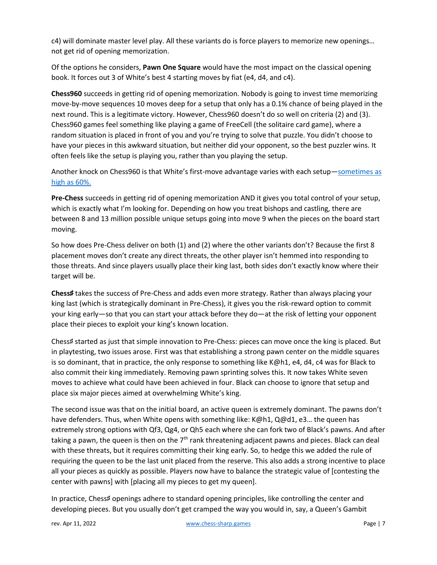c4) will dominate master level play. All these variants do is force players to memorize new openings… not get rid of opening memorization.

Of the options he considers, **Pawn One Square** would have the most impact on the classical opening book. It forces out 3 of White's best 4 starting moves by fiat (e4, d4, and c4).

**Chess960** succeeds in getting rid of opening memorization. Nobody is going to invest time memorizing move-by-move sequences 10 moves deep for a setup that only has a 0.1% chance of being played in the next round. This is a legitimate victory. However, Chess960 doesn't do so well on criteria (2) and (3). Chess960 games feel something like playing a game of FreeCell (the solitaire card game), where a random situation is placed in front of you and you're trying to solve that puzzle. You didn't choose to have your pieces in this awkward situation, but neither did your opponent, so the best puzzler wins. It often feels like the setup is playing you, rather than you playing the setup.

Another knock on Chess960 is that White's first-move advantage varies with each setup-sometimes as [high as 60%.](http://computerchess.org.uk/ccrl/404FRC/opening_report_by_white_score.html#table_start)

**Pre-Chess** succeeds in getting rid of opening memorization AND it gives you total control of your setup, which is exactly what I'm looking for. Depending on how you treat bishops and castling, there are between 8 and 13 million possible unique setups going into move 9 when the pieces on the board start moving.

So how does Pre-Chess deliver on both (1) and (2) where the other variants don't? Because the first 8 placement moves don't create any direct threats, the other player isn't hemmed into responding to those threats. And since players usually place their king last, both sides don't exactly know where their target will be.

**Chess**♯ takes the success of Pre-Chess and adds even more strategy. Rather than always placing your king last (which is strategically dominant in Pre-Chess), it gives you the risk-reward option to commit your king early—so that you can start your attack before they do—at the risk of letting your opponent place their pieces to exploit your king's known location.

Chess♯ started as just that simple innovation to Pre-Chess: pieces can move once the king is placed. But in playtesting, two issues arose. First was that establishing a strong pawn center on the middle squares is so dominant, that in practice, the only response to something like K@h1, e4, d4, c4 was for Black to also commit their king immediately. Removing pawn sprinting solves this. It now takes White seven moves to achieve what could have been achieved in four. Black can choose to ignore that setup and place six major pieces aimed at overwhelming White's king.

The second issue was that on the initial board, an active queen is extremely dominant. The pawns don't have defenders. Thus, when White opens with something like: K@h1, Q@d1, e3... the queen has extremely strong options with Qf3, Qg4, or Qh5 each where she can fork two of Black's pawns. And after taking a pawn, the queen is then on the 7<sup>th</sup> rank threatening adjacent pawns and pieces. Black can deal with these threats, but it requires committing their king early. So, to hedge this we added the rule of requiring the queen to be the last unit placed from the reserve. This also adds a strong incentive to place all your pieces as quickly as possible. Players now have to balance the strategic value of [contesting the center with pawns] with [placing all my pieces to get my queen].

In practice, Chess♯ openings adhere to standard opening principles, like controlling the center and developing pieces. But you usually don't get cramped the way you would in, say, a Queen's Gambit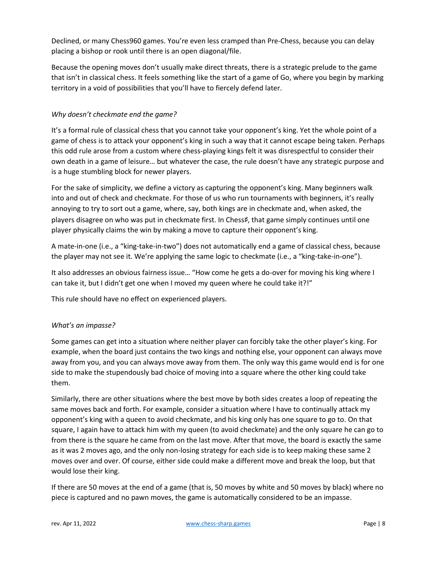Declined, or many Chess960 games. You're even less cramped than Pre-Chess, because you can delay placing a bishop or rook until there is an open diagonal/file.

Because the opening moves don't usually make direct threats, there is a strategic prelude to the game that isn't in classical chess. It feels something like the start of a game of Go, where you begin by marking territory in a void of possibilities that you'll have to fiercely defend later.

## *Why doesn't checkmate end the game?*

It's a formal rule of classical chess that you cannot take your opponent's king. Yet the whole point of a game of chess is to attack your opponent's king in such a way that it cannot escape being taken. Perhaps this odd rule arose from a custom where chess-playing kings felt it was disrespectful to consider their own death in a game of leisure… but whatever the case, the rule doesn't have any strategic purpose and is a huge stumbling block for newer players.

For the sake of simplicity, we define a victory as capturing the opponent's king. Many beginners walk into and out of check and checkmate. For those of us who run tournaments with beginners, it's really annoying to try to sort out a game, where, say, both kings are in checkmate and, when asked, the players disagree on who was put in checkmate first. In Chess♯, that game simply continues until one player physically claims the win by making a move to capture their opponent's king.

A mate-in-one (i.e., a "king-take-in-two") does not automatically end a game of classical chess, because the player may not see it. We're applying the same logic to checkmate (i.e., a "king-take-in-one").

It also addresses an obvious fairness issue… "How come he gets a do-over for moving his king where I can take it, but I didn't get one when I moved my queen where he could take it?!"

This rule should have no effect on experienced players.

## *What's an impasse?*

Some games can get into a situation where neither player can forcibly take the other player's king. For example, when the board just contains the two kings and nothing else, your opponent can always move away from you, and you can always move away from them. The only way this game would end is for one side to make the stupendously bad choice of moving into a square where the other king could take them.

Similarly, there are other situations where the best move by both sides creates a loop of repeating the same moves back and forth. For example, consider a situation where I have to continually attack my opponent's king with a queen to avoid checkmate, and his king only has one square to go to. On that square, I again have to attack him with my queen (to avoid checkmate) and the only square he can go to from there is the square he came from on the last move. After that move, the board is exactly the same as it was 2 moves ago, and the only non-losing strategy for each side is to keep making these same 2 moves over and over. Of course, either side could make a different move and break the loop, but that would lose their king.

If there are 50 moves at the end of a game (that is, 50 moves by white and 50 moves by black) where no piece is captured and no pawn moves, the game is automatically considered to be an impasse.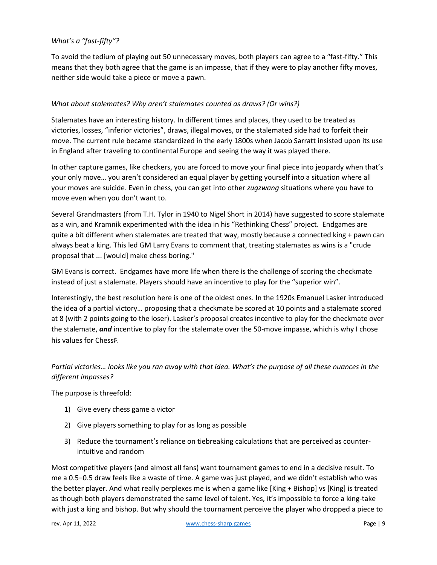## *What's a "fast-fifty"?*

To avoid the tedium of playing out 50 unnecessary moves, both players can agree to a "fast-fifty." This means that they both agree that the game is an impasse, that if they were to play another fifty moves, neither side would take a piece or move a pawn.

## *What about stalemates? Why aren't stalemates counted as draws? (Or wins?)*

Stalemates have an interesting history. In different times and places, they used to be treated as victories, losses, "inferior victories", draws, illegal moves, or the stalemated side had to forfeit their move. The current rule became standardized in the early 1800s when Jacob Sarratt insisted upon its use in England after traveling to continental Europe and seeing the way it was played there.

In other capture games, like checkers, you are forced to move your final piece into jeopardy when that's your only move… you aren't considered an equal player by getting yourself into a situation where all your moves are suicide. Even in chess, you can get into other *zugzwang* situations where you have to move even when you don't want to.

Several Grandmasters (from T.H. Tylor in 1940 to Nigel Short in 2014) have suggested to score stalemate as a win, and Kramnik experimented with the idea in his "Rethinking Chess" project. Endgames are quite a bit different when stalemates are treated that way, mostly because a connected king + pawn can always beat a king. This led GM Larry Evans to comment that, treating stalemates as wins is a "crude proposal that ... [would] make chess boring."

GM Evans is correct. Endgames have more life when there is the challenge of scoring the checkmate instead of just a stalemate. Players should have an incentive to play for the "superior win".

Interestingly, the best resolution here is one of the oldest ones. In the 1920s Emanuel Lasker introduced the idea of a partial victory… proposing that a checkmate be scored at 10 points and a stalemate scored at 8 (with 2 points going to the loser). Lasker's proposal creates incentive to play for the checkmate over the stalemate, *and* incentive to play for the stalemate over the 50-move impasse, which is why I chose his values for Chess♯.

## *Partial victories… looks like you ran away with that idea. What's the purpose of all these nuances in the different impasses?*

The purpose is threefold:

- 1) Give every chess game a victor
- 2) Give players something to play for as long as possible
- 3) Reduce the tournament's reliance on tiebreaking calculations that are perceived as counterintuitive and random

Most competitive players (and almost all fans) want tournament games to end in a decisive result. To me a 0.5–0.5 draw feels like a waste of time. A game was just played, and we didn't establish who was the better player. And what really perplexes me is when a game like [King + Bishop] vs [King] is treated as though both players demonstrated the same level of talent. Yes, it's impossible to force a king-take with just a king and bishop. But why should the tournament perceive the player who dropped a piece to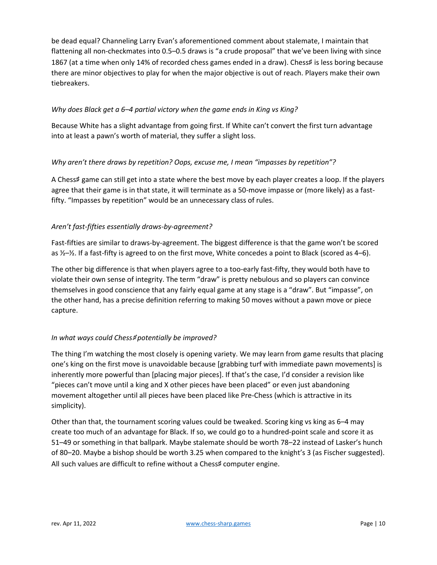be dead equal? Channeling Larry Evan's aforementioned comment about stalemate, I maintain that flattening all non-checkmates into 0.5–0.5 draws is "a crude proposal" that we've been living with since 1867 (at a time when only 14% of recorded chess games ended in a draw). Chess# is less boring because there are minor objectives to play for when the major objective is out of reach. Players make their own tiebreakers.

## *Why does Black get a 6–4 partial victory when the game ends in King vs King?*

Because White has a slight advantage from going first. If White can't convert the first turn advantage into at least a pawn's worth of material, they suffer a slight loss.

## *Why aren't there draws by repetition? Oops, excuse me, I mean "impasses by repetition"?*

A Chess♯ game can still get into a state where the best move by each player creates a loop. If the players agree that their game is in that state, it will terminate as a 50-move impasse or (more likely) as a fastfifty. "Impasses by repetition" would be an unnecessary class of rules.

## *Aren't fast-fifties essentially draws-by-agreement?*

Fast-fifties are similar to draws-by-agreement. The biggest difference is that the game won't be scored as  $\frac{1}{2}$ – $\frac{1}{2}$ . If a fast-fifty is agreed to on the first move, White concedes a point to Black (scored as 4–6).

The other big difference is that when players agree to a too-early fast-fifty, they would both have to violate their own sense of integrity. The term "draw" is pretty nebulous and so players can convince themselves in good conscience that any fairly equal game at any stage is a "draw". But "impasse", on the other hand, has a precise definition referring to making 50 moves without a pawn move or piece capture.

## *In what ways could Chess#potentially be improved?*

The thing I'm watching the most closely is opening variety. We may learn from game results that placing one's king on the first move is unavoidable because [grabbing turf with immediate pawn movements] is inherently more powerful than [placing major pieces]. If that's the case, I'd consider a revision like "pieces can't move until a king and X other pieces have been placed" or even just abandoning movement altogether until all pieces have been placed like Pre-Chess (which is attractive in its simplicity).

Other than that, the tournament scoring values could be tweaked. Scoring king vs king as 6–4 may create too much of an advantage for Black. If so, we could go to a hundred-point scale and score it as 51–49 or something in that ballpark. Maybe stalemate should be worth 78–22 instead of Lasker's hunch of 80–20. Maybe a bishop should be worth 3.25 when compared to the knight's 3 (as Fischer suggested). All such values are difficult to refine without a Chess# computer engine.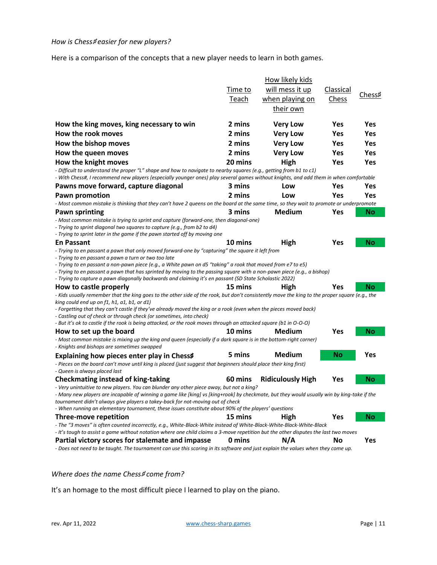#### *How is Chess#easier for new players?*

Here is a comparison of the concepts that a new player needs to learn in both games.

|                                                                                                                                                                                                                                   |         | How likely kids          |           |           |  |  |  |  |
|-----------------------------------------------------------------------------------------------------------------------------------------------------------------------------------------------------------------------------------|---------|--------------------------|-----------|-----------|--|--|--|--|
|                                                                                                                                                                                                                                   | Time to | will mess it up          | Classical |           |  |  |  |  |
|                                                                                                                                                                                                                                   | Teach   | when playing on          | Chess     | Chess♯    |  |  |  |  |
|                                                                                                                                                                                                                                   |         | their own                |           |           |  |  |  |  |
|                                                                                                                                                                                                                                   |         |                          |           |           |  |  |  |  |
| How the king moves, king necessary to win                                                                                                                                                                                         | 2 mins  | <b>Very Low</b>          | Yes       | Yes       |  |  |  |  |
| How the rook moves                                                                                                                                                                                                                | 2 mins  | <b>Very Low</b>          | Yes       | Yes       |  |  |  |  |
| How the bishop moves                                                                                                                                                                                                              | 2 mins  | <b>Very Low</b>          | Yes       | Yes       |  |  |  |  |
| How the queen moves                                                                                                                                                                                                               | 2 mins  | <b>Very Low</b>          | Yes       | Yes       |  |  |  |  |
| How the knight moves                                                                                                                                                                                                              | 20 mins | High                     | Yes       | Yes       |  |  |  |  |
| - Difficult to understand the proper "L" shape and how to navigate to nearby squares (e.g., getting from b1 to c1)                                                                                                                |         |                          |           |           |  |  |  |  |
| - With Chess#, I recommend new players (especially younger ones) play several games without knights, and add them in when comfortable                                                                                             |         |                          |           |           |  |  |  |  |
| Pawns move forward, capture diagonal                                                                                                                                                                                              | 3 mins  | Low                      | Yes       | Yes       |  |  |  |  |
| Pawn promotion                                                                                                                                                                                                                    | 2 mins  | Low                      | Yes       | Yes       |  |  |  |  |
| - Most common mistake is thinking that they can't have 2 queens on the board at the same time, so they wait to promote or underpromote                                                                                            |         |                          |           |           |  |  |  |  |
| Pawn sprinting                                                                                                                                                                                                                    | 3 mins  | Medium                   | Yes       | No        |  |  |  |  |
| - Most common mistake is trying to sprint and capture (forward-one, then diagonal-one)                                                                                                                                            |         |                          |           |           |  |  |  |  |
| - Trying to sprint diagonal two squares to capture (e.g., from b2 to d4)<br>- Trying to sprint later in the game if the pawn started off by moving one                                                                            |         |                          |           |           |  |  |  |  |
| <b>En Passant</b>                                                                                                                                                                                                                 | 10 mins | High                     | Yes       | No        |  |  |  |  |
| - Trying to en passant a pawn that only moved forward-one by "capturing" the square it left from                                                                                                                                  |         |                          |           |           |  |  |  |  |
| - Trying to en passant a pawn a turn or two too late                                                                                                                                                                              |         |                          |           |           |  |  |  |  |
| - Trying to en passant a non-pawn piece (e.g., a White pawn on d5 "taking" a rook that moved from e7 to e5)                                                                                                                       |         |                          |           |           |  |  |  |  |
| - Trying to en passant a pawn that has sprinted by moving to the passing square with a non-pawn piece (e.g., a bishop)<br>- Trying to capture a pawn diagonally backwards and claiming it's en passant (SD State Scholastic 2022) |         |                          |           |           |  |  |  |  |
| How to castle properly                                                                                                                                                                                                            | 15 mins | High                     | Yes       | Νo        |  |  |  |  |
| - Kids usually remember that the king goes to the other side of the rook, but don't consistently move the king to the proper square (e.g., the                                                                                    |         |                          |           |           |  |  |  |  |
| king could end up on $f1$ , h1, a1, b1, or d1)                                                                                                                                                                                    |         |                          |           |           |  |  |  |  |
| - Forgetting that they can't castle if they've already moved the king or a rook (even when the pieces moved back)                                                                                                                 |         |                          |           |           |  |  |  |  |
| - Castling out of check or through check (or sometimes, into check)                                                                                                                                                               |         |                          |           |           |  |  |  |  |
| - But it's ok to castle if the rook is being attacked, or the rook moves through an attacked square (b1 in O-O-O)                                                                                                                 |         |                          | Yes       |           |  |  |  |  |
| How to set up the board<br>- Most common mistake is mixing up the king and queen (especially if a dark square is in the bottom-right corner)                                                                                      | 10 mins | Medium                   |           | No        |  |  |  |  |
| - Knights and bishops are sometimes swapped                                                                                                                                                                                       |         |                          |           |           |  |  |  |  |
| Explaining how pieces enter play in Chess#                                                                                                                                                                                        | 5 mins  | Medium                   | No        | Yes       |  |  |  |  |
| - Pieces on the board can't move until king is placed (just suggest that beginners should place their king first)                                                                                                                 |         |                          |           |           |  |  |  |  |
| - Queen is always placed last                                                                                                                                                                                                     |         |                          |           |           |  |  |  |  |
| Checkmating instead of king-taking                                                                                                                                                                                                | 60 mins | <b>Ridiculously High</b> | Yes       | <b>No</b> |  |  |  |  |
| - Very unintuitive to new players. You can blunder any other piece away, but not a king?                                                                                                                                          |         |                          |           |           |  |  |  |  |
| - Many new players are incapable of winning a game like [king] vs [king+rook] by checkmate, but they would usually win by king-take if the                                                                                        |         |                          |           |           |  |  |  |  |
| tournament didn't always give players a takey-back for not-moving out of check<br>- When running an elementary tournament, these issues constitute about 90% of the players' questions                                            |         |                          |           |           |  |  |  |  |
| Three-move repetition                                                                                                                                                                                                             | 15 mins | High                     | Yes       | No        |  |  |  |  |
| - The "3 moves" is often counted incorrectly, e.g., White-Black-White instead of White-Black-White-Black-White-Black                                                                                                              |         |                          |           |           |  |  |  |  |
| - It's tough to assist a game without notation where one child claims a 3-move repetition but the other disputes the last two moves                                                                                               |         |                          |           |           |  |  |  |  |
| Partial victory scores for stalemate and impasse                                                                                                                                                                                  | 0 mins  | N/A                      | No        | Yes       |  |  |  |  |

*- Does not need to be taught. The tournament can use this scoring in its software and just explain the values when they come up.*

#### *Where does the name Chess*♯ *come from?*

It's an homage to the most difficult piece I learned to play on the piano.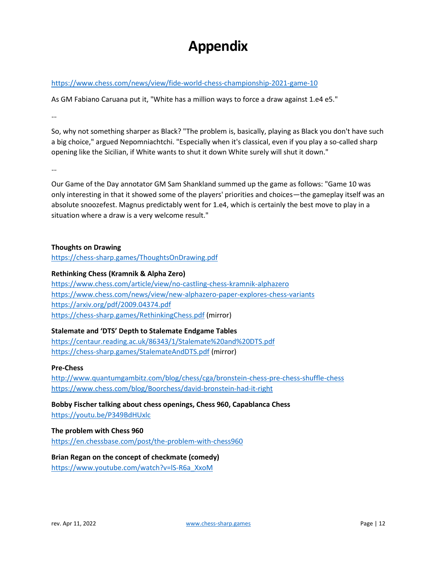## **Appendix**

## <https://www.chess.com/news/view/fide-world-chess-championship-2021-game-10>

As GM Fabiano Caruana put it, "White has a million ways to force a draw against 1.e4 e5."

…

So, why not something sharper as Black? "The problem is, basically, playing as Black you don't have such a big choice," argued Nepomniachtchi. "Especially when it's classical, even if you play a so-called sharp opening like the Sicilian, if White wants to shut it down White surely will shut it down."

…

Our Game of the Day annotator GM Sam Shankland summed up the game as follows: "Game 10 was only interesting in that it showed some of the players' priorities and choices—the gameplay itself was an absolute snoozefest. Magnus predictably went for 1.e4, which is certainly the best move to play in a situation where a draw is a very welcome result."

### **Thoughts on Drawing**

<https://chess-sharp.games/ThoughtsOnDrawing.pdf>

## **Rethinking Chess (Kramnik & Alpha Zero)**

<https://www.chess.com/article/view/no-castling-chess-kramnik-alphazero> <https://www.chess.com/news/view/new-alphazero-paper-explores-chess-variants> <https://arxiv.org/pdf/2009.04374.pdf> <https://chess-sharp.games/RethinkingChess.pdf> (mirror)

### **Stalemate and 'DTS' Depth to Stalemate Endgame Tables**

<https://centaur.reading.ac.uk/86343/1/Stalemate%20and%20DTS.pdf> <https://chess-sharp.games/StalemateAndDTS.pdf> (mirror)

### **Pre-Chess**

<http://www.quantumgambitz.com/blog/chess/cga/bronstein-chess-pre-chess-shuffle-chess> <https://www.chess.com/blog/Boorchess/david-bronstein-had-it-right>

**Bobby Fischer talking about chess openings, Chess 960, Capablanca Chess** <https://youtu.be/P349BdHUxlc>

### **The problem with Chess 960**

<https://en.chessbase.com/post/the-problem-with-chess960>

## **Brian Regan on the concept of checkmate (comedy)**

[https://www.youtube.com/watch?v=lS-R6a\\_XxoM](https://www.youtube.com/watch?v=lS-R6a_XxoM)